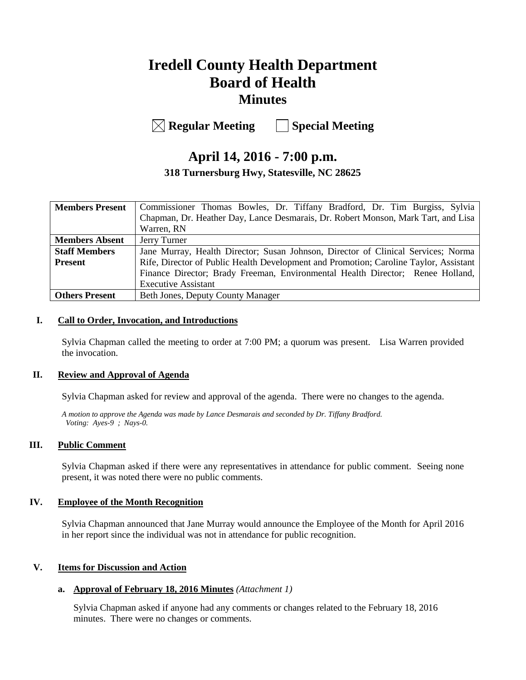# **Iredell County Health Department Board of Health Minutes**

**Regular Meeting Special Meeting**

## **April 14, 2016 - 7:00 p.m. 318 Turnersburg Hwy, Statesville, NC 28625**

| <b>Members Present</b> | Commissioner Thomas Bowles, Dr. Tiffany Bradford, Dr. Tim Burgiss, Sylvia             |  |  |
|------------------------|---------------------------------------------------------------------------------------|--|--|
|                        | Chapman, Dr. Heather Day, Lance Desmarais, Dr. Robert Monson, Mark Tart, and Lisa     |  |  |
|                        | Warren, RN                                                                            |  |  |
| <b>Members Absent</b>  | Jerry Turner                                                                          |  |  |
| <b>Staff Members</b>   | Jane Murray, Health Director; Susan Johnson, Director of Clinical Services; Norma     |  |  |
| <b>Present</b>         | Rife, Director of Public Health Development and Promotion; Caroline Taylor, Assistant |  |  |
|                        | Finance Director; Brady Freeman, Environmental Health Director; Renee Holland,        |  |  |
|                        | <b>Executive Assistant</b>                                                            |  |  |
| Others Present         | Beth Jones, Deputy County Manager                                                     |  |  |

#### **I. Call to Order, Invocation, and Introductions**

Sylvia Chapman called the meeting to order at 7:00 PM; a quorum was present. Lisa Warren provided the invocation.

#### **II. Review and Approval of Agenda**

Sylvia Chapman asked for review and approval of the agenda. There were no changes to the agenda.

*A motion to approve the Agenda was made by Lance Desmarais and seconded by Dr. Tiffany Bradford. Voting: Ayes-9 ; Nays-0.*

#### **III. Public Comment**

Sylvia Chapman asked if there were any representatives in attendance for public comment. Seeing none present, it was noted there were no public comments.

#### **IV. Employee of the Month Recognition**

Sylvia Chapman announced that Jane Murray would announce the Employee of the Month for April 2016 in her report since the individual was not in attendance for public recognition.

#### **V. Items for Discussion and Action**

#### **a. Approval of February 18, 2016 Minutes** *(Attachment 1)*

Sylvia Chapman asked if anyone had any comments or changes related to the February 18, 2016 minutes. There were no changes or comments.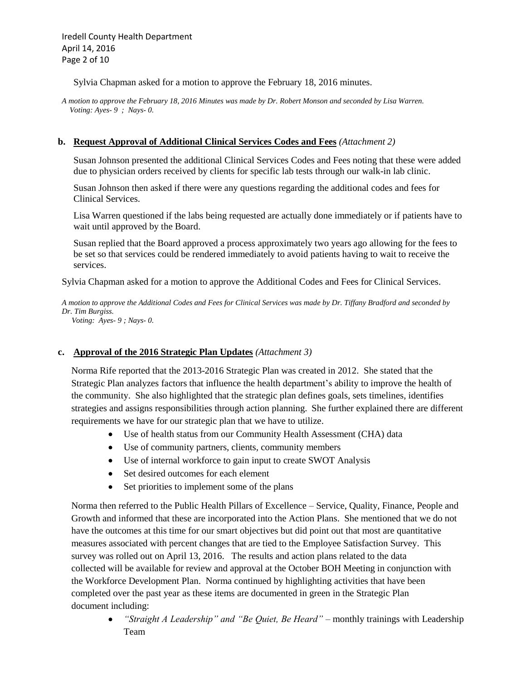Iredell County Health Department April 14, 2016 Page 2 of 10

Sylvia Chapman asked for a motion to approve the February 18, 2016 minutes.

*A motion to approve the February 18, 2016 Minutes was made by Dr. Robert Monson and seconded by Lisa Warren. Voting: Ayes- 9 ; Nays- 0.*

#### **b. Request Approval of Additional Clinical Services Codes and Fees** *(Attachment 2)*

Susan Johnson presented the additional Clinical Services Codes and Fees noting that these were added due to physician orders received by clients for specific lab tests through our walk-in lab clinic.

Susan Johnson then asked if there were any questions regarding the additional codes and fees for Clinical Services.

Lisa Warren questioned if the labs being requested are actually done immediately or if patients have to wait until approved by the Board.

Susan replied that the Board approved a process approximately two years ago allowing for the fees to be set so that services could be rendered immediately to avoid patients having to wait to receive the services.

Sylvia Chapman asked for a motion to approve the Additional Codes and Fees for Clinical Services.

*A motion to approve the Additional Codes and Fees for Clinical Services was made by Dr. Tiffany Bradford and seconded by Dr. Tim Burgiss.*

 *Voting: Ayes- 9 ; Nays- 0.*

#### **c. Approval of the 2016 Strategic Plan Updates** *(Attachment 3)*

 Norma Rife reported that the 2013-2016 Strategic Plan was created in 2012. She stated that the Strategic Plan analyzes factors that influence the health department's ability to improve the health of the community. She also highlighted that the strategic plan defines goals, sets timelines, identifies strategies and assigns responsibilities through action planning. She further explained there are different requirements we have for our strategic plan that we have to utilize.

- Use of health status from our Community Health Assessment (CHA) data
- Use of community partners, clients, community members
- Use of internal workforce to gain input to create SWOT Analysis
- Set desired outcomes for each element
- Set priorities to implement some of the plans

 Norma then referred to the Public Health Pillars of Excellence – Service, Quality, Finance, People and Growth and informed that these are incorporated into the Action Plans. She mentioned that we do not have the outcomes at this time for our smart objectives but did point out that most are quantitative measures associated with percent changes that are tied to the Employee Satisfaction Survey. This survey was rolled out on April 13, 2016. The results and action plans related to the data collected will be available for review and approval at the October BOH Meeting in conjunction with the Workforce Development Plan. Norma continued by highlighting activities that have been completed over the past year as these items are documented in green in the Strategic Plan document including:

 *"Straight A Leadership" and "Be Quiet, Be Heard"* – monthly trainings with Leadership Team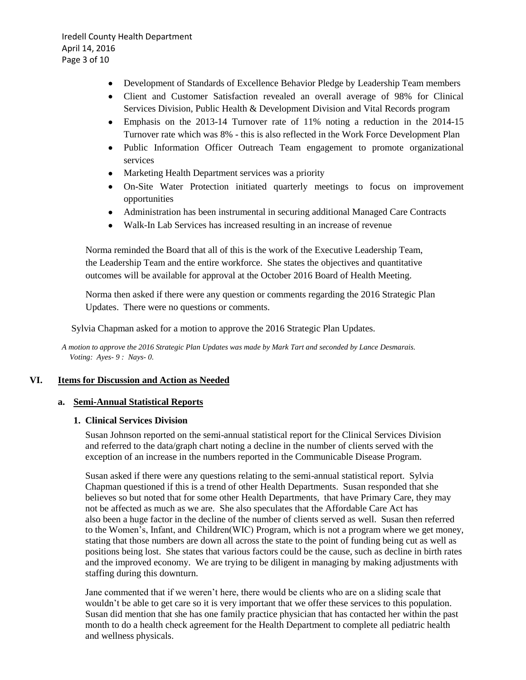Iredell County Health Department April 14, 2016 Page 3 of 10

- Development of Standards of Excellence Behavior Pledge by Leadership Team members
- Client and Customer Satisfaction revealed an overall average of 98% for Clinical Services Division, Public Health & Development Division and Vital Records program
- Emphasis on the 2013-14 Turnover rate of 11% noting a reduction in the 2014-15 Turnover rate which was 8% - this is also reflected in the Work Force Development Plan
- Public Information Officer Outreach Team engagement to promote organizational services
- Marketing Health Department services was a priority
- On-Site Water Protection initiated quarterly meetings to focus on improvement opportunities
- Administration has been instrumental in securing additional Managed Care Contracts
- Walk-In Lab Services has increased resulting in an increase of revenue

 Norma reminded the Board that all of this is the work of the Executive Leadership Team, the Leadership Team and the entire workforce. She states the objectives and quantitative outcomes will be available for approval at the October 2016 Board of Health Meeting.

 Norma then asked if there were any question or comments regarding the 2016 Strategic Plan Updates. There were no questions or comments.

Sylvia Chapman asked for a motion to approve the 2016 Strategic Plan Updates.

*A motion to approve the 2016 Strategic Plan Updates was made by Mark Tart and seconded by Lance Desmarais. Voting: Ayes- 9 : Nays- 0.*

#### **VI. Items for Discussion and Action as Needed**

#### **a. Semi-Annual Statistical Reports**

#### **1. Clinical Services Division**

 Susan Johnson reported on the semi-annual statistical report for the Clinical Services Division and referred to the data/graph chart noting a decline in the number of clients served with the exception of an increase in the numbers reported in the Communicable Disease Program.

 Susan asked if there were any questions relating to the semi-annual statistical report. Sylvia Chapman questioned if this is a trend of other Health Departments. Susan responded that she believes so but noted that for some other Health Departments, that have Primary Care, they may not be affected as much as we are. She also speculates that the Affordable Care Act has also been a huge factor in the decline of the number of clients served as well. Susan then referred to the Women's, Infant, and Children(WIC) Program, which is not a program where we get money, stating that those numbers are down all across the state to the point of funding being cut as well as positions being lost. She states that various factors could be the cause, such as decline in birth rates and the improved economy. We are trying to be diligent in managing by making adjustments with staffing during this downturn.

 Jane commented that if we weren't here, there would be clients who are on a sliding scale that wouldn't be able to get care so it is very important that we offer these services to this population. Susan did mention that she has one family practice physician that has contacted her within the past month to do a health check agreement for the Health Department to complete all pediatric health and wellness physicals.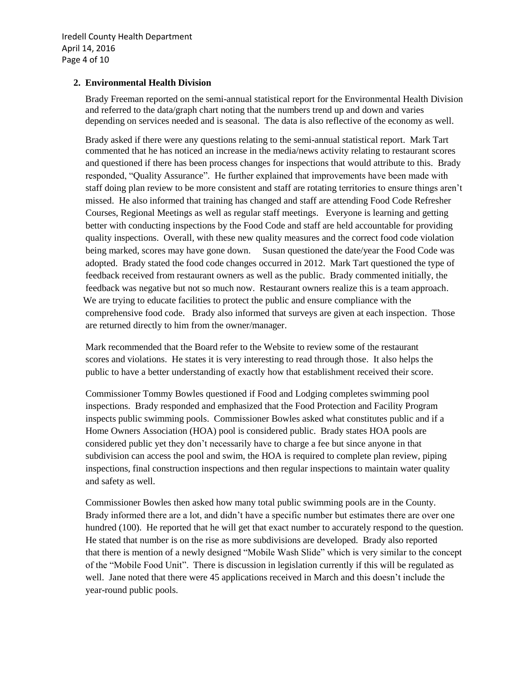# **2. Environmental Health Division**

Brady Freeman reported on the semi-annual statistical report for the Environmental Health Division and referred to the data/graph chart noting that the numbers trend up and down and varies depending on services needed and is seasonal. The data is also reflective of the economy as well.

 Brady asked if there were any questions relating to the semi-annual statistical report. Mark Tart commented that he has noticed an increase in the media/news activity relating to restaurant scores and questioned if there has been process changes for inspections that would attribute to this. Brady responded, "Quality Assurance". He further explained that improvements have been made with staff doing plan review to be more consistent and staff are rotating territories to ensure things aren't missed. He also informed that training has changed and staff are attending Food Code Refresher Courses, Regional Meetings as well as regular staff meetings. Everyone is learning and getting better with conducting inspections by the Food Code and staff are held accountable for providing quality inspections. Overall, with these new quality measures and the correct food code violation being marked, scores may have gone down. Susan questioned the date/year the Food Code was adopted. Brady stated the food code changes occurred in 2012. Mark Tart questioned the type of feedback received from restaurant owners as well as the public. Brady commented initially, the feedback was negative but not so much now. Restaurant owners realize this is a team approach. We are trying to educate facilities to protect the public and ensure compliance with the comprehensive food code. Brady also informed that surveys are given at each inspection. Those are returned directly to him from the owner/manager.

 Mark recommended that the Board refer to the Website to review some of the restaurant scores and violations. He states it is very interesting to read through those. It also helps the public to have a better understanding of exactly how that establishment received their score.

 Commissioner Tommy Bowles questioned if Food and Lodging completes swimming pool inspections. Brady responded and emphasized that the Food Protection and Facility Program inspects public swimming pools. Commissioner Bowles asked what constitutes public and if a Home Owners Association (HOA) pool is considered public. Brady states HOA pools are considered public yet they don't necessarily have to charge a fee but since anyone in that subdivision can access the pool and swim, the HOA is required to complete plan review, piping inspections, final construction inspections and then regular inspections to maintain water quality and safety as well.

 Commissioner Bowles then asked how many total public swimming pools are in the County. Brady informed there are a lot, and didn't have a specific number but estimates there are over one hundred (100). He reported that he will get that exact number to accurately respond to the question. He stated that number is on the rise as more subdivisions are developed. Brady also reported that there is mention of a newly designed "Mobile Wash Slide" which is very similar to the concept of the "Mobile Food Unit". There is discussion in legislation currently if this will be regulated as well. Jane noted that there were 45 applications received in March and this doesn't include the year-round public pools.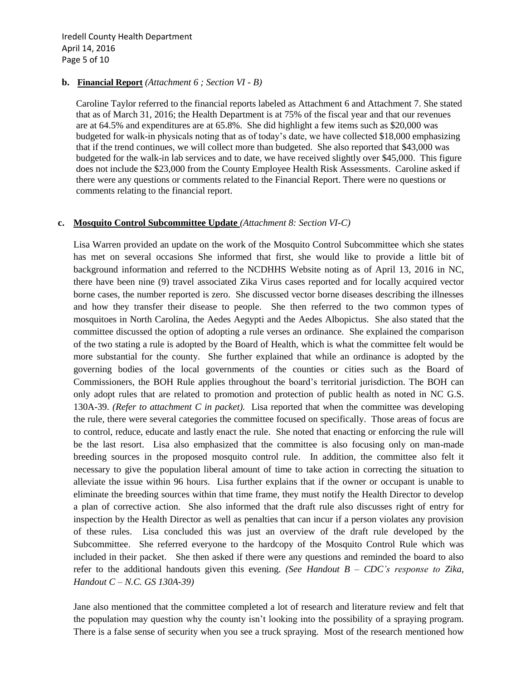#### **b. Financial Report** *(Attachment 6 ; Section VI - B)*

 Caroline Taylor referred to the financial reports labeled as Attachment 6 and Attachment 7. She stated that as of March 31, 2016; the Health Department is at 75% of the fiscal year and that our revenues are at 64.5% and expenditures are at 65.8%. She did highlight a few items such as \$20,000 was budgeted for walk-in physicals noting that as of today's date, we have collected \$18,000 emphasizing that if the trend continues, we will collect more than budgeted. She also reported that \$43,000 was budgeted for the walk-in lab services and to date, we have received slightly over \$45,000. This figure does not include the \$23,000 from the County Employee Health Risk Assessments. Caroline asked if there were any questions or comments related to the Financial Report. There were no questions or comments relating to the financial report.

#### **c. Mosquito Control Subcommittee Update** *(Attachment 8: Section VI-C)*

Lisa Warren provided an update on the work of the Mosquito Control Subcommittee which she states has met on several occasions She informed that first, she would like to provide a little bit of background information and referred to the NCDHHS Website noting as of April 13, 2016 in NC, there have been nine (9) travel associated Zika Virus cases reported and for locally acquired vector borne cases, the number reported is zero. She discussed vector borne diseases describing the illnesses and how they transfer their disease to people. She then referred to the two common types of mosquitoes in North Carolina, the Aedes Aegypti and the Aedes Albopictus. She also stated that the committee discussed the option of adopting a rule verses an ordinance. She explained the comparison of the two stating a rule is adopted by the Board of Health, which is what the committee felt would be more substantial for the county. She further explained that while an ordinance is adopted by the governing bodies of the local governments of the counties or cities such as the Board of Commissioners, the BOH Rule applies throughout the board's territorial jurisdiction. The BOH can only adopt rules that are related to promotion and protection of public health as noted in NC G.S. 130A-39. *(Refer to attachment C in packet).* Lisa reported that when the committee was developing the rule, there were several categories the committee focused on specifically. Those areas of focus are to control, reduce, educate and lastly enact the rule. She noted that enacting or enforcing the rule will be the last resort. Lisa also emphasized that the committee is also focusing only on man-made breeding sources in the proposed mosquito control rule. In addition, the committee also felt it necessary to give the population liberal amount of time to take action in correcting the situation to alleviate the issue within 96 hours. Lisa further explains that if the owner or occupant is unable to eliminate the breeding sources within that time frame, they must notify the Health Director to develop a plan of corrective action. She also informed that the draft rule also discusses right of entry for inspection by the Health Director as well as penalties that can incur if a person violates any provision of these rules. Lisa concluded this was just an overview of the draft rule developed by the Subcommittee. She referred everyone to the hardcopy of the Mosquito Control Rule which was included in their packet. She then asked if there were any questions and reminded the board to also refer to the additional handouts given this evening. *(See Handout B – CDC's response to Zika, Handout C – N.C. GS 130A-39)*

Jane also mentioned that the committee completed a lot of research and literature review and felt that the population may question why the county isn't looking into the possibility of a spraying program. There is a false sense of security when you see a truck spraying. Most of the research mentioned how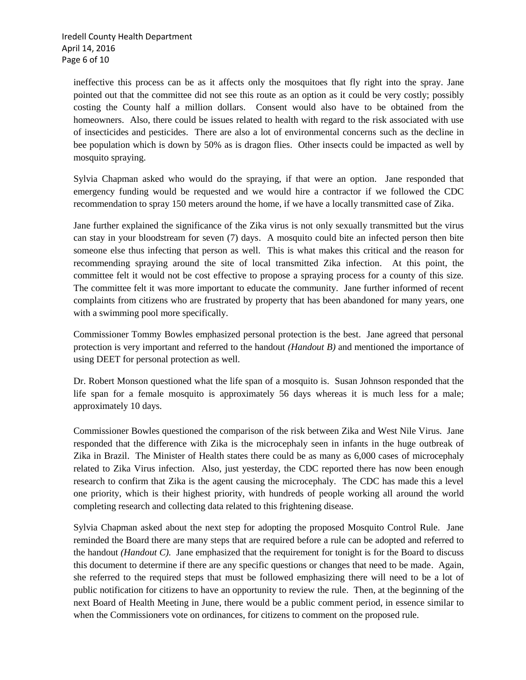ineffective this process can be as it affects only the mosquitoes that fly right into the spray. Jane pointed out that the committee did not see this route as an option as it could be very costly; possibly costing the County half a million dollars. Consent would also have to be obtained from the homeowners. Also, there could be issues related to health with regard to the risk associated with use of insecticides and pesticides. There are also a lot of environmental concerns such as the decline in bee population which is down by 50% as is dragon flies. Other insects could be impacted as well by mosquito spraying.

Sylvia Chapman asked who would do the spraying, if that were an option. Jane responded that emergency funding would be requested and we would hire a contractor if we followed the CDC recommendation to spray 150 meters around the home, if we have a locally transmitted case of Zika.

Jane further explained the significance of the Zika virus is not only sexually transmitted but the virus can stay in your bloodstream for seven (7) days. A mosquito could bite an infected person then bite someone else thus infecting that person as well. This is what makes this critical and the reason for recommending spraying around the site of local transmitted Zika infection. At this point, the committee felt it would not be cost effective to propose a spraying process for a county of this size. The committee felt it was more important to educate the community. Jane further informed of recent complaints from citizens who are frustrated by property that has been abandoned for many years, one with a swimming pool more specifically.

Commissioner Tommy Bowles emphasized personal protection is the best. Jane agreed that personal protection is very important and referred to the handout *(Handout B)* and mentioned the importance of using DEET for personal protection as well.

Dr. Robert Monson questioned what the life span of a mosquito is. Susan Johnson responded that the life span for a female mosquito is approximately 56 days whereas it is much less for a male; approximately 10 days.

Commissioner Bowles questioned the comparison of the risk between Zika and West Nile Virus. Jane responded that the difference with Zika is the microcephaly seen in infants in the huge outbreak of Zika in Brazil. The Minister of Health states there could be as many as 6,000 cases of microcephaly related to Zika Virus infection. Also, just yesterday, the CDC reported there has now been enough research to confirm that Zika is the agent causing the microcephaly. The CDC has made this a level one priority, which is their highest priority, with hundreds of people working all around the world completing research and collecting data related to this frightening disease.

Sylvia Chapman asked about the next step for adopting the proposed Mosquito Control Rule. Jane reminded the Board there are many steps that are required before a rule can be adopted and referred to the handout *(Handout C).* Jane emphasized that the requirement for tonight is for the Board to discuss this document to determine if there are any specific questions or changes that need to be made. Again, she referred to the required steps that must be followed emphasizing there will need to be a lot of public notification for citizens to have an opportunity to review the rule. Then, at the beginning of the next Board of Health Meeting in June, there would be a public comment period, in essence similar to when the Commissioners vote on ordinances, for citizens to comment on the proposed rule.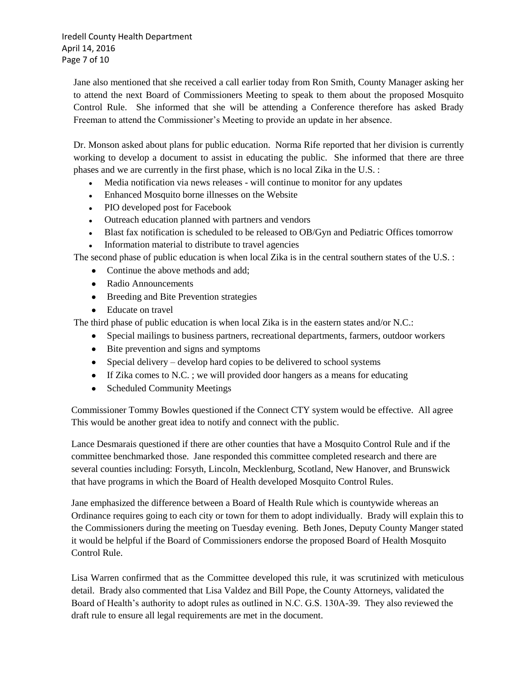Iredell County Health Department April 14, 2016 Page 7 of 10

Jane also mentioned that she received a call earlier today from Ron Smith, County Manager asking her to attend the next Board of Commissioners Meeting to speak to them about the proposed Mosquito Control Rule. She informed that she will be attending a Conference therefore has asked Brady Freeman to attend the Commissioner's Meeting to provide an update in her absence.

Dr. Monson asked about plans for public education. Norma Rife reported that her division is currently working to develop a document to assist in educating the public. She informed that there are three phases and we are currently in the first phase, which is no local Zika in the U.S. :

- Media notification via news releases will continue to monitor for any updates
- Enhanced Mosquito borne illnesses on the Website
- PIO developed post for Facebook
- Outreach education planned with partners and vendors
- Blast fax notification is scheduled to be released to OB/Gyn and Pediatric Offices tomorrow
- Information material to distribute to travel agencies

The second phase of public education is when local Zika is in the central southern states of the U.S. :

- Continue the above methods and add:
- Radio Announcements
- Breeding and Bite Prevention strategies
- Educate on travel

The third phase of public education is when local Zika is in the eastern states and/or N.C.:

- Special mailings to business partners, recreational departments, farmers, outdoor workers
- Bite prevention and signs and symptoms
- $\bullet$  Special delivery develop hard copies to be delivered to school systems
- If Zika comes to N.C. ; we will provided door hangers as a means for educating
- Scheduled Community Meetings

 Commissioner Tommy Bowles questioned if the Connect CTY system would be effective. All agree This would be another great idea to notify and connect with the public.

 Lance Desmarais questioned if there are other counties that have a Mosquito Control Rule and if the committee benchmarked those. Jane responded this committee completed research and there are several counties including: Forsyth, Lincoln, Mecklenburg, Scotland, New Hanover, and Brunswick that have programs in which the Board of Health developed Mosquito Control Rules.

 Jane emphasized the difference between a Board of Health Rule which is countywide whereas an Ordinance requires going to each city or town for them to adopt individually. Brady will explain this to the Commissioners during the meeting on Tuesday evening. Beth Jones, Deputy County Manger stated it would be helpful if the Board of Commissioners endorse the proposed Board of Health Mosquito Control Rule.

 Lisa Warren confirmed that as the Committee developed this rule, it was scrutinized with meticulous detail. Brady also commented that Lisa Valdez and Bill Pope, the County Attorneys, validated the Board of Health's authority to adopt rules as outlined in N.C. G.S. 130A-39. They also reviewed the draft rule to ensure all legal requirements are met in the document.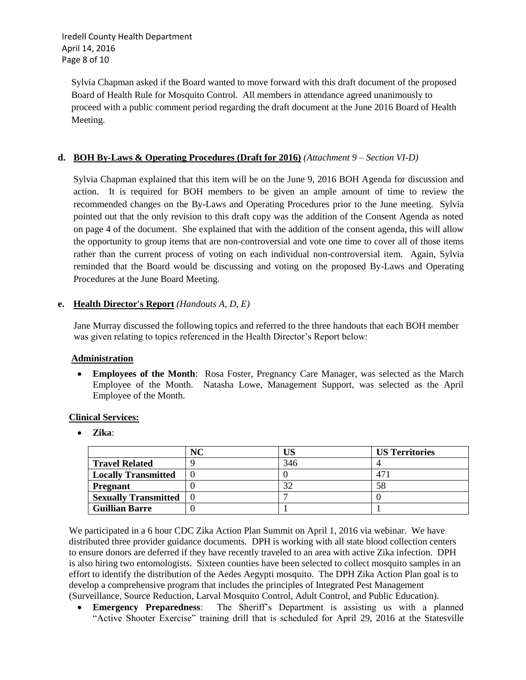Iredell County Health Department April 14, 2016 Page 8 of 10

 Sylvia Chapman asked if the Board wanted to move forward with this draft document of the proposed Board of Health Rule for Mosquito Control. All members in attendance agreed unanimously to proceed with a public comment period regarding the draft document at the June 2016 Board of Health Meeting.

#### **d. BOH By-Laws & Operating Procedures (Draft for 2016)** *(Attachment 9 – Section VI-D)*

Sylvia Chapman explained that this item will be on the June 9, 2016 BOH Agenda for discussion and action. It is required for BOH members to be given an ample amount of time to review the recommended changes on the By-Laws and Operating Procedures prior to the June meeting. Sylvia pointed out that the only revision to this draft copy was the addition of the Consent Agenda as noted on page 4 of the document. She explained that with the addition of the consent agenda, this will allow the opportunity to group items that are non-controversial and vote one time to cover all of those items rather than the current process of voting on each individual non-controversial item. Again, Sylvia reminded that the Board would be discussing and voting on the proposed By-Laws and Operating Procedures at the June Board Meeting.

#### **e. Health Director's Report** *(Handouts A, D, E)*

 Jane Murray discussed the following topics and referred to the three handouts that each BOH member was given relating to topics referenced in the Health Director's Report below:

#### **Administration**

 **Employees of the Month**: Rosa Foster, Pregnancy Care Manager, was selected as the March Employee of the Month. Natasha Lowe, Management Support, was selected as the April Employee of the Month.

#### **Clinical Services:**

**Zika**:

|                             | NC |     | <b>US Territories</b> |
|-----------------------------|----|-----|-----------------------|
| <b>Travel Related</b>       |    | 346 |                       |
| <b>Locally Transmitted</b>  |    |     |                       |
| <b>Pregnant</b>             |    |     | 58                    |
| <b>Sexually Transmitted</b> |    |     |                       |
| <b>Guillian Barre</b>       |    |     |                       |

 We participated in a 6 hour CDC Zika Action Plan Summit on April 1, 2016 via webinar. We have distributed three provider guidance documents. DPH is working with all state blood collection centers to ensure donors are deferred if they have recently traveled to an area with active Zika infection. DPH is also hiring two entomologists. Sixteen counties have been selected to collect mosquito samples in an effort to identify the distribution of the Aedes Aegypti mosquito. The DPH Zika Action Plan goal is to develop a comprehensive program that includes the principles of Integrated Pest Management (Surveillance, Source Reduction, Larval Mosquito Control, Adult Control, and Public Education).

 **Emergency Preparedness**: The Sheriff's Department is assisting us with a planned "Active Shooter Exercise" training drill that is scheduled for April 29, 2016 at the Statesville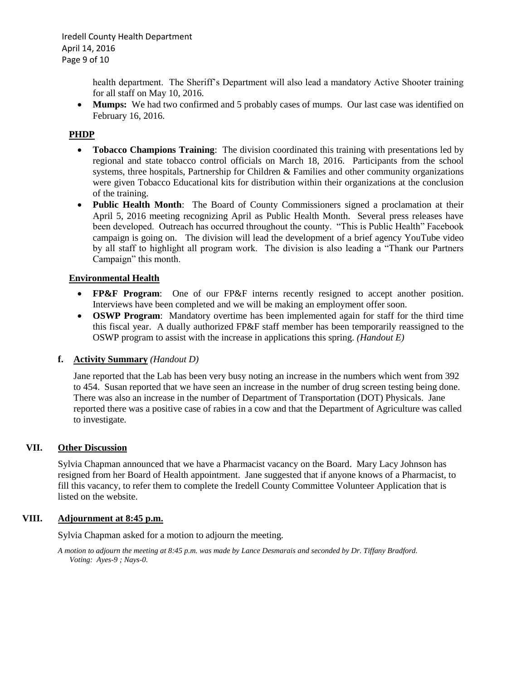health department. The Sheriff's Department will also lead a mandatory Active Shooter training for all staff on May 10, 2016.

• **Mumps:** We had two confirmed and 5 probably cases of mumps. Our last case was identified on February 16, 2016.

#### **PHDP**

- **Tobacco Champions Training**: The division coordinated this training with presentations led by regional and state tobacco control officials on March 18, 2016. Participants from the school systems, three hospitals, Partnership for Children & Families and other community organizations were given Tobacco Educational kits for distribution within their organizations at the conclusion of the training.
- **Public Health Month**: The Board of County Commissioners signed a proclamation at their April 5, 2016 meeting recognizing April as Public Health Month. Several press releases have been developed. Outreach has occurred throughout the county. "This is Public Health" Facebook campaign is going on. The division will lead the development of a brief agency YouTube video by all staff to highlight all program work. The division is also leading a "Thank our Partners Campaign" this month.

#### **Environmental Health**

- **FP&F Program**: One of our FP&F interns recently resigned to accept another position. Interviews have been completed and we will be making an employment offer soon.
- **OSWP Program**: Mandatory overtime has been implemented again for staff for the third time this fiscal year. A dually authorized FP&F staff member has been temporarily reassigned to the OSWP program to assist with the increase in applications this spring. *(Handout E)*

#### **f. Activity Summary** *(Handout D)*

Jane reported that the Lab has been very busy noting an increase in the numbers which went from 392 to 454. Susan reported that we have seen an increase in the number of drug screen testing being done. There was also an increase in the number of Department of Transportation (DOT) Physicals. Jane reported there was a positive case of rabies in a cow and that the Department of Agriculture was called to investigate*.* 

## **VII. Other Discussion**

Sylvia Chapman announced that we have a Pharmacist vacancy on the Board. Mary Lacy Johnson has resigned from her Board of Health appointment. Jane suggested that if anyone knows of a Pharmacist, to fill this vacancy, to refer them to complete the Iredell County Committee Volunteer Application that is listed on the website.

#### **VIII. Adjournment at 8:45 p.m.**

Sylvia Chapman asked for a motion to adjourn the meeting.

*A motion to adjourn the meeting at 8:45 p.m. was made by Lance Desmarais and seconded by Dr. Tiffany Bradford. Voting: Ayes-9 ; Nays-0.*